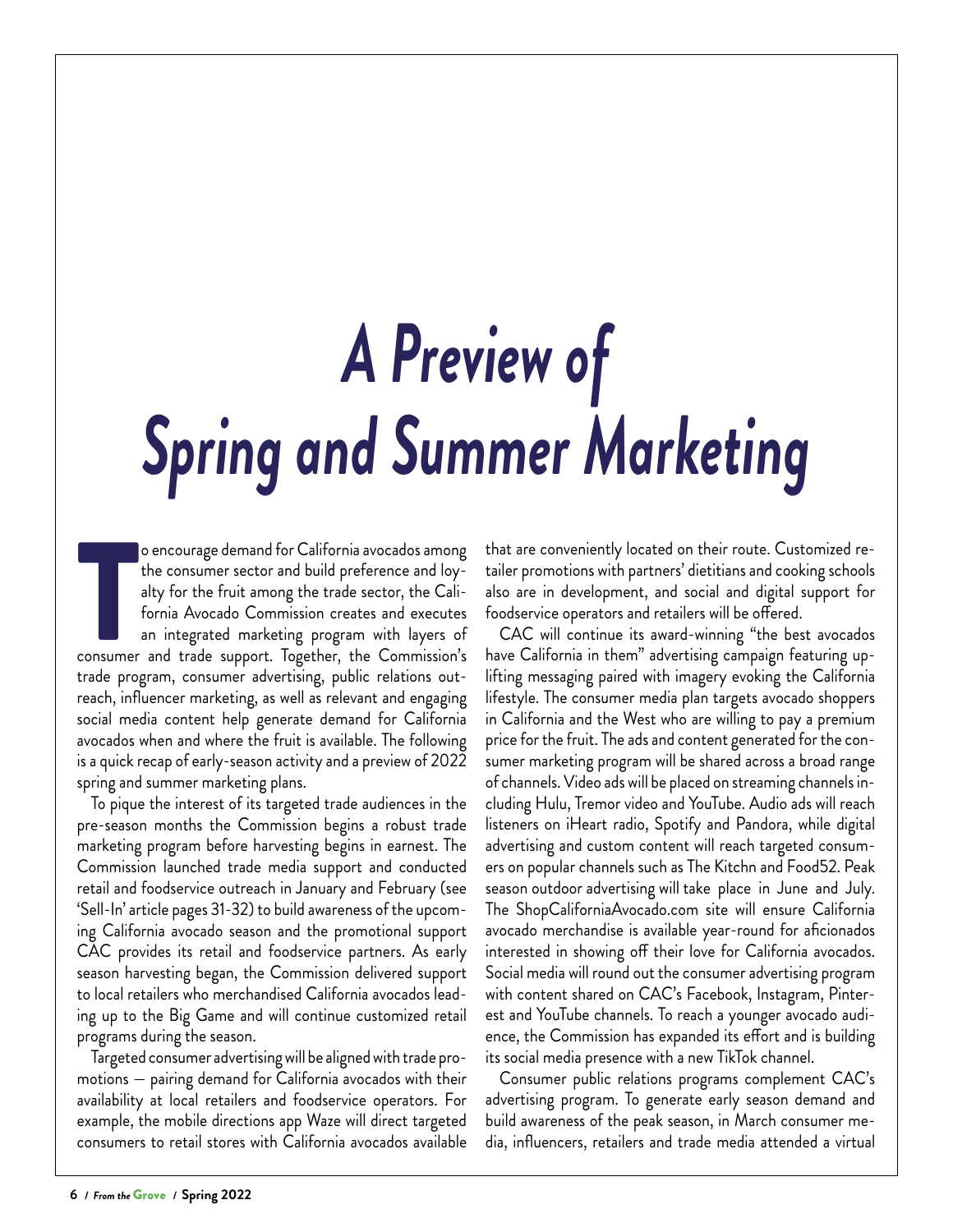## *A Preview of Spring and Summer Marketing*

Formula avocados among<br>the consumer sector and build preference and loy-<br>alty for the fruit among the trade sector, the Cali-<br>fornia Avocado Commission creates and executes<br>an integrated marketing program with layers of<br>co o encourage demand for California avocados among the consumer sector and build preference and loyalty for the fruit among the trade sector, the California Avocado Commission creates and executes an integrated marketing program with layers of trade program, consumer advertising, public relations outreach, influencer marketing, as well as relevant and engaging social media content help generate demand for California avocados when and where the fruit is available. The following is a quick recap of early-season activity and a preview of 2022 spring and summer marketing plans.

To pique the interest of its targeted trade audiences in the pre-season months the Commission begins a robust trade marketing program before harvesting begins in earnest. The Commission launched trade media support and conducted retail and foodservice outreach in January and February (see 'Sell-In' article pages 31-32) to build awareness of the upcoming California avocado season and the promotional support CAC provides its retail and foodservice partners. As early season harvesting began, the Commission delivered support to local retailers who merchandised California avocados leading up to the Big Game and will continue customized retail programs during the season.

Targeted consumer advertising will be aligned with trade promotions — pairing demand for California avocados with their availability at local retailers and foodservice operators. For example, the mobile directions app Waze will direct targeted consumers to retail stores with California avocados available

that are conveniently located on their route. Customized retailer promotions with partners' dietitians and cooking schools also are in development, and social and digital support for foodservice operators and retailers will be offered.

CAC will continue its award-winning "the best avocados have California in them" advertising campaign featuring uplifting messaging paired with imagery evoking the California lifestyle. The consumer media plan targets avocado shoppers in California and the West who are willing to pay a premium price for the fruit. The ads and content generated for the consumer marketing program will be shared across a broad range of channels. Video ads will be placed on streaming channels including Hulu, Tremor video and YouTube. Audio ads will reach listeners on iHeart radio, Spotify and Pandora, while digital advertising and custom content will reach targeted consumers on popular channels such as The Kitchn and Food52. Peak season outdoor advertising will take place in June and July. The ShopCaliforniaAvocado.com site will ensure California avocado merchandise is available year-round for aficionados interested in showing off their love for California avocados. Social media will round out the consumer advertising program with content shared on CAC's Facebook, Instagram, Pinterest and YouTube channels. To reach a younger avocado audience, the Commission has expanded its effort and is building its social media presence with a new TikTok channel.

Consumer public relations programs complement CAC's advertising program. To generate early season demand and build awareness of the peak season, in March consumer media, influencers, retailers and trade media attended a virtual